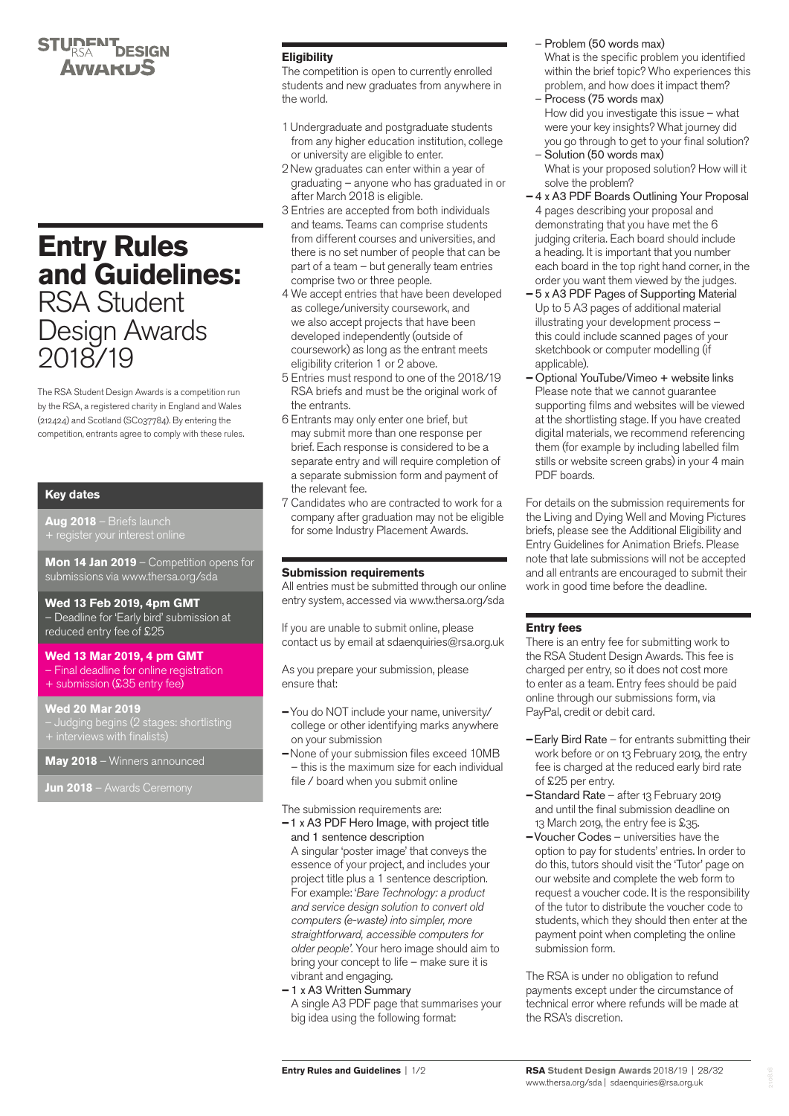## **STUDENT DESIGN** АуудкыЗ

# **Entry Rules and Guidelines:** RSA Student Design Awards 2018/19

The RSA Student Design Awards is a competition run by the RSA, a registered charity in England and Wales (212424) and Scotland (SC037784). By entering the competition, entrants agree to comply with these rules.

## **Key dates**

**Aug 2018** – Briefs launch

**Mon 14 Jan 2019** – Competition opens for submissions via <www.thersa.org/sda>

## **Wed 13 Feb 2019, 4pm GMT**

– Deadline for 'Early bird' submission at reduced entry fee of £25

## **Wed 13 Mar 2019, 4 pm GMT**

- Final deadline for online registration
- + submission (£35 entry fee)

## **Wed 20 Mar 2019**

– Judging begins (2 stages: shortlisting

**May 2018** – Winners announced

**Jun 2018** – Awards Ceremony

## **Eligibility**

The competition is open to currently enrolled students and new graduates from anywhere in the world.

- 1Undergraduate and postgraduate students from any higher education institution, college or university are eligible to enter.
- 2New graduates can enter within a year of graduating – anyone who has graduated in or after March 2018 is eligible.
- 3 Entries are accepted from both individuals and teams. Teams can comprise students from different courses and universities, and there is no set number of people that can be part of a team – but generally team entries comprise two or three people.
- 4 We accept entries that have been developed as college/university coursework, and we also accept projects that have been developed independently (outside of coursework) as long as the entrant meets eligibility criterion 1 or 2 above.
- 5 Entries must respond to one of the 2018/19 RSA briefs and must be the original work of the entrants.
- 6 Entrants may only enter one brief, but may submit more than one response per brief. Each response is considered to be a separate entry and will require completion of a separate submission form and payment of the relevant fee.
- 7 Candidates who are contracted to work for a company after graduation may not be eligible for some Industry Placement Awards.

## **Submission requirements**

All entries must be submitted through our online entry system, accessed via [www.thersa.org/sda](http:/thersa.org/sda) 

If you are unable to submit online, please contact us by email at [sdaenquiries@rsa.org.uk](mailto:sdaenquiries%40rsa.org.uk?subject=SDA%202017/18%20Enquiry)

As you prepare your submission, please ensure that:

- **–**You do NOT include your name, university/ college or other identifying marks anywhere on your submission
- **–**None of your submission files exceed 10MB – this is the maximum size for each individual file / board when you submit online

The submission requirements are:

- **–**1 x A3 PDF Hero Image, with project title and 1 sentence description A singular 'poster image' that conveys the essence of your project, and includes your project title plus a 1 sentence description. For example: '*Bare Technology: a product and service design solution to convert old computers (e-waste) into simpler, more straightforward, accessible computers for older people'.* Your hero image should aim to bring your concept to life – make sure it is vibrant and engaging.
- 1 x A3 Written Summary A single A3 PDF page that summarises your big idea using the following format:
- Problem (50 words max) What is the specific problem you identified within the brief topic? Who experiences this problem, and how does it impact them?
- Process (75 words max) How did you investigate this issue – what were your key insights? What journey did you go through to get to your final solution?
- Solution (50 words max) What is your proposed solution? How will it solve the problem?
- 4 x A3 PDF Boards Outlining Your Proposal 4 pages describing your proposal and demonstrating that you have met the 6 judging criteria. Each board should include a heading. It is important that you number each board in the top right hand corner, in the order you want them viewed by the judges.
- 5 x A3 PDF Pages of Supporting Material Up to 5 A3 pages of additional material illustrating your development process – this could include scanned pages of your sketchbook or computer modelling (if applicable).
- **–** Optional YouTube/Vimeo + website links Please note that we cannot guarantee supporting films and websites will be viewed at the shortlisting stage. If you have created digital materials, we recommend referencing them (for example by including labelled film stills or website screen grabs) in your 4 main PDF boards.

For details on the submission requirements for the Living and Dying Well and Moving Pictures briefs, please see the Additional Eligibility and Entry Guidelines for Animation Briefs. Please note that late submissions will not be accepted and all entrants are encouraged to submit their work in good time before the deadline.

## **Entry fees**

There is an entry fee for submitting work to the RSA Student Design Awards. This fee is charged per entry, so it does not cost more to enter as a team. Entry fees should be paid online through our submissions form, via PayPal, credit or debit card.

- **–**Early Bird Rate for entrants submitting their work before or on 13 February 2019, the entry fee is charged at the reduced early bird rate of £25 per entry.
- **–**Standard Rate after 13 February 2019 and until the final submission deadline on 13 March 2019, the entry fee is £35.
- **–**Voucher Codes universities have the option to pay for students' entries. In order to do this, tutors should visit the 'Tutor' page on our website and complete the web form to request a voucher code. It is the responsibility of the tutor to distribute the voucher code to students, which they should then enter at the payment point when completing the online submission form.

The RSA is under no obligation to refund payments except under the circumstance of technical error where refunds will be made at the RSA's discretion.